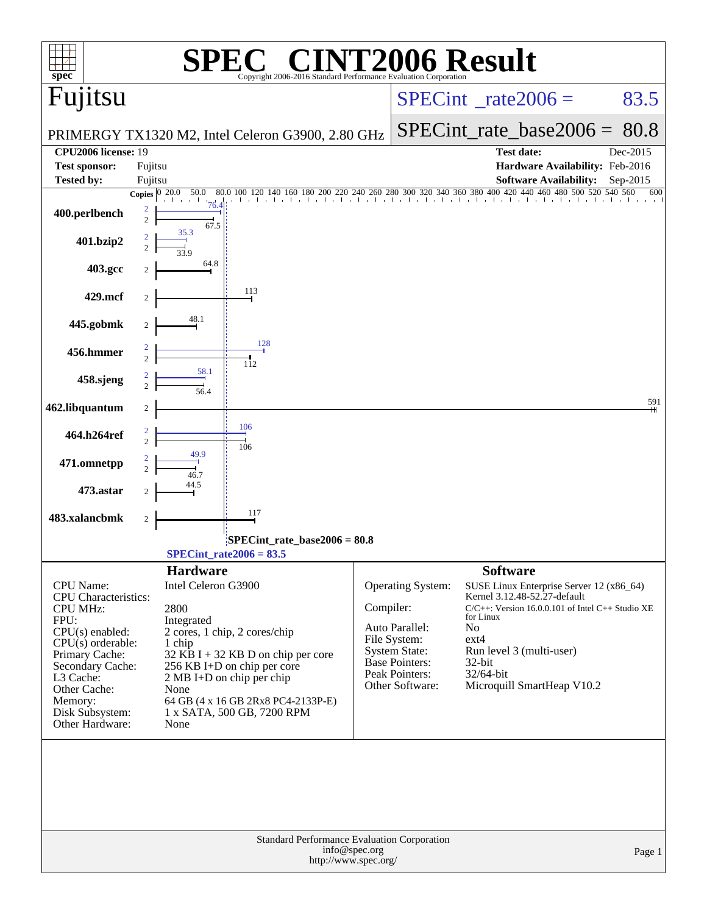| $spec^*$                                 |                          |                     | $\bigcap$<br>Copyright 2006-2016 Standard Performance Evaluation Cornoration |                                       |                                               | <b>INT2006 Result</b>                                                                                                                                                                                                                                                                                                                                                           |          |
|------------------------------------------|--------------------------|---------------------|------------------------------------------------------------------------------|---------------------------------------|-----------------------------------------------|---------------------------------------------------------------------------------------------------------------------------------------------------------------------------------------------------------------------------------------------------------------------------------------------------------------------------------------------------------------------------------|----------|
| Fujitsu                                  |                          |                     |                                                                              |                                       |                                               | $SPECint^{\circ}$ <sub>_rate2006</sub> =                                                                                                                                                                                                                                                                                                                                        | 83.5     |
|                                          |                          |                     | PRIMERGY TX1320 M2, Intel Celeron G3900, 2.80 GHz                            |                                       |                                               | $SPECint_rate\_base2006 =$                                                                                                                                                                                                                                                                                                                                                      | 80.8     |
| <b>CPU2006 license: 19</b>               |                          |                     |                                                                              |                                       |                                               | <b>Test date:</b>                                                                                                                                                                                                                                                                                                                                                               | Dec-2015 |
| <b>Test sponsor:</b>                     | Fujitsu                  |                     |                                                                              |                                       |                                               | Hardware Availability: Feb-2016                                                                                                                                                                                                                                                                                                                                                 |          |
| Tested by:                               | Fujitsu                  |                     |                                                                              |                                       |                                               | <b>Software Availability:</b>                                                                                                                                                                                                                                                                                                                                                   | Sep-2015 |
|                                          | Copies $\boxed{0\ 20.0}$ | 50.0<br>80.0        |                                                                              |                                       |                                               | $140 \quad 160 \quad 180 \quad 200 \quad 220 \quad 240 \quad 260 \quad 280 \quad 300 \quad 320 \quad 340 \quad 360 \quad 380 \quad 400 \quad 420 \quad 440 \quad 460 \quad 480 \quad 500 \quad 520 \quad 540 \quad 560 \quad 560 \quad 560 \quad 560 \quad 560 \quad 560 \quad 560 \quad 570 \quad 580 \quad 590 \quad 590 \quad 590 \quad 500 \quad 500 \quad 500 \quad 500 \$ | 600      |
| 400.perlbench                            | 2<br>$\overline{2}$      | 76.4<br>67.5        |                                                                              |                                       |                                               |                                                                                                                                                                                                                                                                                                                                                                                 |          |
| 401.bzip2                                |                          | 35.3                |                                                                              |                                       |                                               |                                                                                                                                                                                                                                                                                                                                                                                 |          |
| 403.gcc                                  |                          | 64.8                |                                                                              |                                       |                                               |                                                                                                                                                                                                                                                                                                                                                                                 |          |
| 429.mcf                                  |                          |                     | 113                                                                          |                                       |                                               |                                                                                                                                                                                                                                                                                                                                                                                 |          |
| 445.gobmk                                |                          | 48.1                |                                                                              |                                       |                                               |                                                                                                                                                                                                                                                                                                                                                                                 |          |
| 456.hmmer                                |                          |                     | 128                                                                          |                                       |                                               |                                                                                                                                                                                                                                                                                                                                                                                 |          |
| 458.sjeng                                | $\mathcal{D}_{\alpha}$   | 58.1                | 112                                                                          |                                       |                                               |                                                                                                                                                                                                                                                                                                                                                                                 |          |
|                                          |                          |                     |                                                                              |                                       |                                               |                                                                                                                                                                                                                                                                                                                                                                                 | 591      |
| 462.libquantum                           | $\overline{c}$           |                     | 106                                                                          |                                       |                                               |                                                                                                                                                                                                                                                                                                                                                                                 |          |
| 464.h264ref                              | 2<br>$\overline{2}$      |                     | 106                                                                          |                                       |                                               |                                                                                                                                                                                                                                                                                                                                                                                 |          |
| 471.omnetpp                              |                          |                     |                                                                              |                                       |                                               |                                                                                                                                                                                                                                                                                                                                                                                 |          |
| 473.astar                                |                          |                     |                                                                              |                                       |                                               |                                                                                                                                                                                                                                                                                                                                                                                 |          |
| 483.xalancbmk                            | $\boldsymbol{2}$         |                     | 117                                                                          |                                       |                                               |                                                                                                                                                                                                                                                                                                                                                                                 |          |
|                                          |                          |                     | $SPECint_rate_base2006 = 80.8$                                               |                                       |                                               |                                                                                                                                                                                                                                                                                                                                                                                 |          |
|                                          |                          |                     | SPECint rate $2006 = 83.5$                                                   |                                       |                                               |                                                                                                                                                                                                                                                                                                                                                                                 |          |
|                                          |                          | <b>Hardware</b>     |                                                                              |                                       |                                               | <b>Software</b>                                                                                                                                                                                                                                                                                                                                                                 |          |
| CPU Name:<br><b>CPU</b> Characteristics: |                          | Intel Celeron G3900 |                                                                              |                                       | Operating System:                             | SUSE Linux Enterprise Server 12 (x86_64)<br>Kernel 3.12.48-52.27-default                                                                                                                                                                                                                                                                                                        |          |
| <b>CPU MHz:</b>                          |                          | 2800                |                                                                              | Compiler:                             |                                               | $C/C++$ : Version 16.0.0.101 of Intel $C++$ Studio XE                                                                                                                                                                                                                                                                                                                           |          |
| FPU:<br>CPU(s) enabled:                  |                          | Integrated          | 2 cores, 1 chip, 2 cores/chip                                                |                                       | Auto Parallel:                                | for Linux<br>N <sub>0</sub>                                                                                                                                                                                                                                                                                                                                                     |          |
| $CPU(s)$ orderable:                      |                          | 1 chip              |                                                                              |                                       | File System:                                  | $ext{4}$                                                                                                                                                                                                                                                                                                                                                                        |          |
| Primary Cache:                           |                          |                     | $32$ KB I + 32 KB D on chip per core                                         |                                       | <b>System State:</b><br><b>Base Pointers:</b> | Run level 3 (multi-user)<br>32-bit                                                                                                                                                                                                                                                                                                                                              |          |
| Secondary Cache:<br>L3 Cache:            |                          |                     | 256 KB I+D on chip per core<br>2 MB I+D on chip per chip                     |                                       | Peak Pointers:                                | 32/64-bit                                                                                                                                                                                                                                                                                                                                                                       |          |
| Other Cache:                             |                          | None                |                                                                              |                                       | Other Software:                               | Microquill SmartHeap V10.2                                                                                                                                                                                                                                                                                                                                                      |          |
| Memory:<br>Disk Subsystem:               |                          |                     | 64 GB (4 x 16 GB 2Rx8 PC4-2133P-E)<br>1 x SATA, 500 GB, 7200 RPM             |                                       |                                               |                                                                                                                                                                                                                                                                                                                                                                                 |          |
| Other Hardware:                          |                          | None                |                                                                              |                                       |                                               |                                                                                                                                                                                                                                                                                                                                                                                 |          |
|                                          |                          |                     |                                                                              |                                       |                                               |                                                                                                                                                                                                                                                                                                                                                                                 |          |
|                                          |                          |                     | Standard Performance Evaluation Corporation                                  | info@spec.org<br>http://www.spec.org/ |                                               |                                                                                                                                                                                                                                                                                                                                                                                 | Page 1   |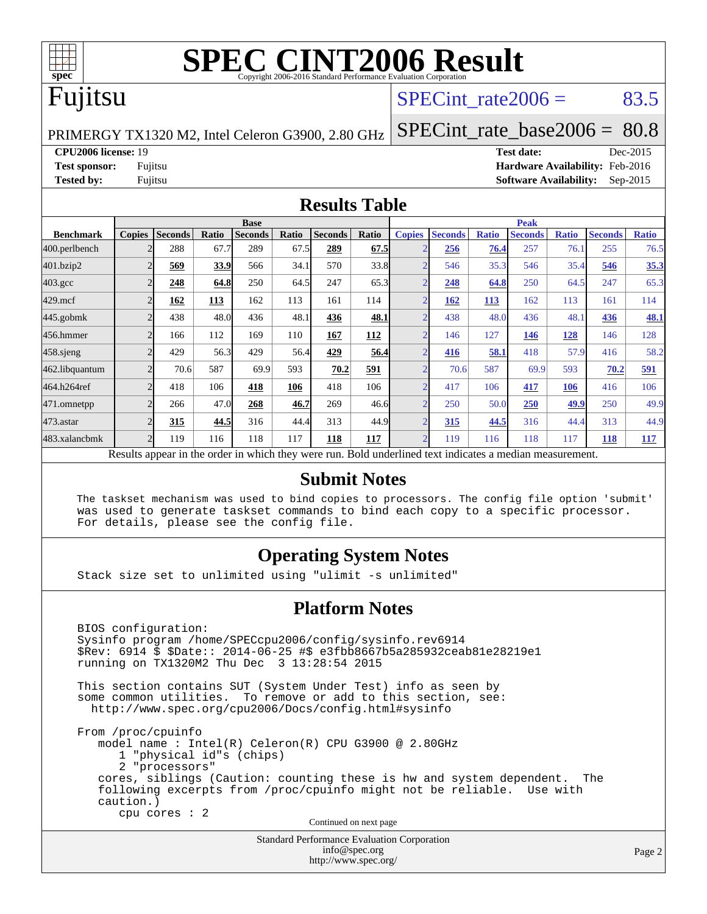

# **[SPEC CINT2006 Result](http://www.spec.org/auto/cpu2006/Docs/result-fields.html#SPECCINT2006Result)**

# Fujitsu

### SPECint rate  $2006 = 83.5$

PRIMERGY TX1320 M2, Intel Celeron G3900, 2.80 GHz

[SPECint\\_rate\\_base2006 =](http://www.spec.org/auto/cpu2006/Docs/result-fields.html#SPECintratebase2006) 80.8

**[CPU2006 license:](http://www.spec.org/auto/cpu2006/Docs/result-fields.html#CPU2006license)** 19 **[Test date:](http://www.spec.org/auto/cpu2006/Docs/result-fields.html#Testdate)** Dec-2015 **[Test sponsor:](http://www.spec.org/auto/cpu2006/Docs/result-fields.html#Testsponsor)** Fujitsu **[Hardware Availability:](http://www.spec.org/auto/cpu2006/Docs/result-fields.html#HardwareAvailability)** Feb-2016 **[Tested by:](http://www.spec.org/auto/cpu2006/Docs/result-fields.html#Testedby)** Fujitsu **[Software Availability:](http://www.spec.org/auto/cpu2006/Docs/result-fields.html#SoftwareAvailability)** Sep-2015

### **[Results Table](http://www.spec.org/auto/cpu2006/Docs/result-fields.html#ResultsTable)**

|                                                                                                          | <b>Base</b>    |                |       |                |       |                | <b>Peak</b> |                |                |              |                |              |                |              |
|----------------------------------------------------------------------------------------------------------|----------------|----------------|-------|----------------|-------|----------------|-------------|----------------|----------------|--------------|----------------|--------------|----------------|--------------|
| <b>Benchmark</b>                                                                                         | <b>Copies</b>  | <b>Seconds</b> | Ratio | <b>Seconds</b> | Ratio | <b>Seconds</b> | Ratio       | <b>Copies</b>  | <b>Seconds</b> | <b>Ratio</b> | <b>Seconds</b> | <b>Ratio</b> | <b>Seconds</b> | <b>Ratio</b> |
| 400.perlbench                                                                                            |                | 288            | 67.7  | 289            | 67.5  | 289            | 67.5        |                | 256            | 76.4         | 257            | 76.1         | 255            | 76.5         |
| 401.bzip2                                                                                                |                | 569            | 33.9  | 566            | 34.1  | 570            | 33.8        |                | 546            | 35.3         | 546            | 35.4         | 546            | 35.3         |
| $403.\mathrm{gcc}$                                                                                       | $\overline{c}$ | 248            | 64.8  | 250            | 64.5  | 247            | 65.3        | $\overline{2}$ | 248            | 64.8         | 250            | 64.5         | 247            | 65.3         |
| $429$ .mcf                                                                                               |                | 162            | 113   | 162            | 113   | 161            | 114         |                | <u>162</u>     | 113          | 162            | 113          | 161            | 114          |
| $445$ .gobmk                                                                                             |                | 438            | 48.0  | 436            | 48.1  | 436            | 48.1        | ◠              | 438            | 48.0         | 436            | 48.1         | 436            | 48.1         |
| 456.hmmer                                                                                                |                | 166            | 112   | 169            | 110   | 167            | 112         | $\overline{2}$ | 146            | 127          | 146            | 128          | 146            | 128          |
| $458$ .sjeng                                                                                             | $\overline{c}$ | 429            | 56.3  | 429            | 56.4  | 429            | 56.4        | $\overline{2}$ | 416            | 58.1         | 418            | 57.9         | 416            | 58.2         |
| 462.libquantum                                                                                           |                | 70.6           | 587   | 69.9           | 593   | 70.2           | 591         |                | 70.6           | 587          | 69.9           | 593          | 70.2           | 591          |
| 464.h264ref                                                                                              | $\overline{c}$ | 418            | 106   | 418            | 106   | 418            | 106         | $\overline{2}$ | 417            | 106          | 417            | 106          | 416            | 106          |
| 471.omnetpp                                                                                              |                | 266            | 47.0  | 268            | 46.7  | 269            | 46.6        | $\overline{2}$ | 250            | 50.0         | 250            | 49.9         | 250            | 49.9         |
| 473.astar                                                                                                | C              | 315            | 44.5  | 316            | 44.4  | 313            | 44.9        | <sub>2</sub>   | 315            | 44.5         | 316            | 44.4         | 313            | 44.9         |
| 483.xalancbmk                                                                                            | $\overline{2}$ | 119            | 116   | 118            | 117   | 118            | 117         | $\overline{2}$ | 119            | 116          | 118            | 117          | 118            | 117          |
| Results appear in the order in which they were run. Bold underlined text indicates a median measurement. |                |                |       |                |       |                |             |                |                |              |                |              |                |              |

### **[Submit Notes](http://www.spec.org/auto/cpu2006/Docs/result-fields.html#SubmitNotes)**

 The taskset mechanism was used to bind copies to processors. The config file option 'submit' was used to generate taskset commands to bind each copy to a specific processor. For details, please see the config file.

### **[Operating System Notes](http://www.spec.org/auto/cpu2006/Docs/result-fields.html#OperatingSystemNotes)**

Stack size set to unlimited using "ulimit -s unlimited"

### **[Platform Notes](http://www.spec.org/auto/cpu2006/Docs/result-fields.html#PlatformNotes)**

Standard Performance Evaluation Corporation BIOS configuration: Sysinfo program /home/SPECcpu2006/config/sysinfo.rev6914 \$Rev: 6914 \$ \$Date:: 2014-06-25 #\$ e3fbb8667b5a285932ceab81e28219e1 running on TX1320M2 Thu Dec 3 13:28:54 2015 This section contains SUT (System Under Test) info as seen by some common utilities. To remove or add to this section, see: <http://www.spec.org/cpu2006/Docs/config.html#sysinfo> From /proc/cpuinfo model name : Intel(R) Celeron(R) CPU G3900 @ 2.80GHz 1 "physical id"s (chips) 2 "processors" cores, siblings (Caution: counting these is hw and system dependent. The following excerpts from /proc/cpuinfo might not be reliable. Use with caution.) cpu cores : 2 Continued on next page

> [info@spec.org](mailto:info@spec.org) <http://www.spec.org/>

Page 2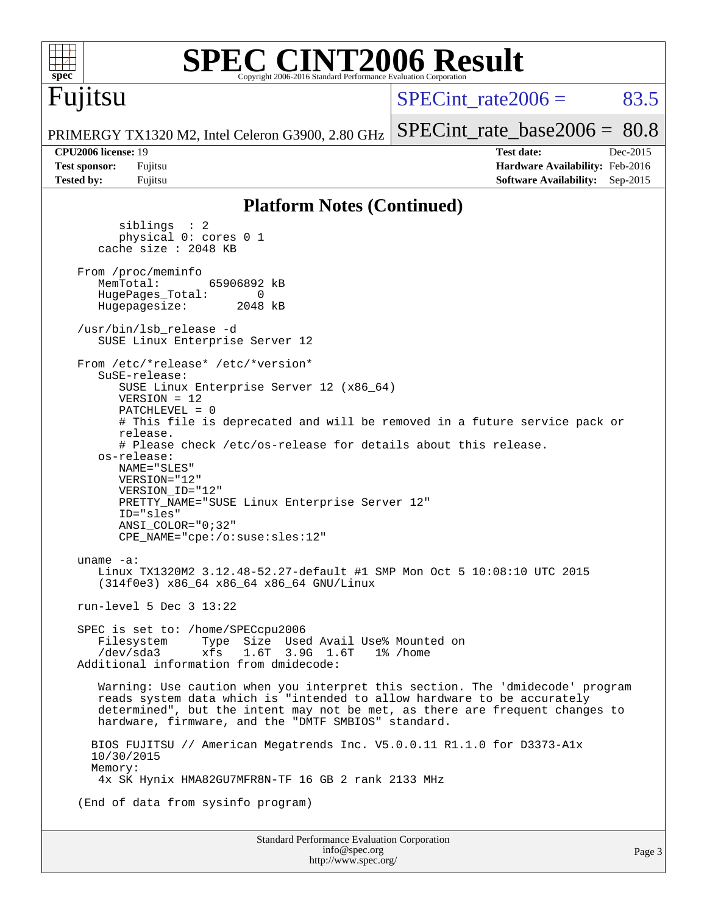

### **[SPEC CINT2006 Result](http://www.spec.org/auto/cpu2006/Docs/result-fields.html#SPECCINT2006Result)** Copyright 2006-2016 Standard Performance Evaluation Corporation

Fujitsu

SPECint rate  $2006 = 83.5$ 

PRIMERGY TX1320 M2, Intel Celeron G3900, 2.80 GHz [SPECint\\_rate\\_base2006 =](http://www.spec.org/auto/cpu2006/Docs/result-fields.html#SPECintratebase2006) 80.8

**[CPU2006 license:](http://www.spec.org/auto/cpu2006/Docs/result-fields.html#CPU2006license)** 19 **[Test date:](http://www.spec.org/auto/cpu2006/Docs/result-fields.html#Testdate)** Dec-2015 **[Test sponsor:](http://www.spec.org/auto/cpu2006/Docs/result-fields.html#Testsponsor)** Fujitsu **[Hardware Availability:](http://www.spec.org/auto/cpu2006/Docs/result-fields.html#HardwareAvailability)** Feb-2016 **[Tested by:](http://www.spec.org/auto/cpu2006/Docs/result-fields.html#Testedby)** Fujitsu **[Software Availability:](http://www.spec.org/auto/cpu2006/Docs/result-fields.html#SoftwareAvailability)** Sep-2015

### **[Platform Notes \(Continued\)](http://www.spec.org/auto/cpu2006/Docs/result-fields.html#PlatformNotes)**

 siblings : 2 physical 0: cores 0 1 cache size : 2048 KB From /proc/meminfo<br>MemTotal: 65906892 kB HugePages\_Total: 0<br>Hugepagesize: 2048 kB Hugepagesize: /usr/bin/lsb\_release -d SUSE Linux Enterprise Server 12 From /etc/\*release\* /etc/\*version\* SuSE-release: SUSE Linux Enterprise Server 12 (x86\_64) VERSION = 12 PATCHLEVEL = 0 # This file is deprecated and will be removed in a future service pack or release. # Please check /etc/os-release for details about this release. os-release: NAME="SLES" VERSION="12" VERSION\_ID="12" PRETTY NAME="SUSE Linux Enterprise Server 12" ID="sles" ANSI\_COLOR="0;32" CPE\_NAME="cpe:/o:suse:sles:12" uname -a: Linux TX1320M2 3.12.48-52.27-default #1 SMP Mon Oct 5 10:08:10 UTC 2015 (314f0e3) x86\_64 x86\_64 x86\_64 GNU/Linux run-level 5 Dec 3 13:22 SPEC is set to: /home/SPECcpu2006 Filesystem Type Size Used Avail Use% Mounted on<br>/dev/sda3 xfs 1.6T 3.9G 1.6T 1% /home 3.9G 1.6T Additional information from dmidecode: Warning: Use caution when you interpret this section. The 'dmidecode' program reads system data which is "intended to allow hardware to be accurately determined", but the intent may not be met, as there are frequent changes to hardware, firmware, and the "DMTF SMBIOS" standard. BIOS FUJITSU // American Megatrends Inc. V5.0.0.11 R1.1.0 for D3373-A1x 10/30/2015 Memory: 4x SK Hynix HMA82GU7MFR8N-TF 16 GB 2 rank 2133 MHz (End of data from sysinfo program)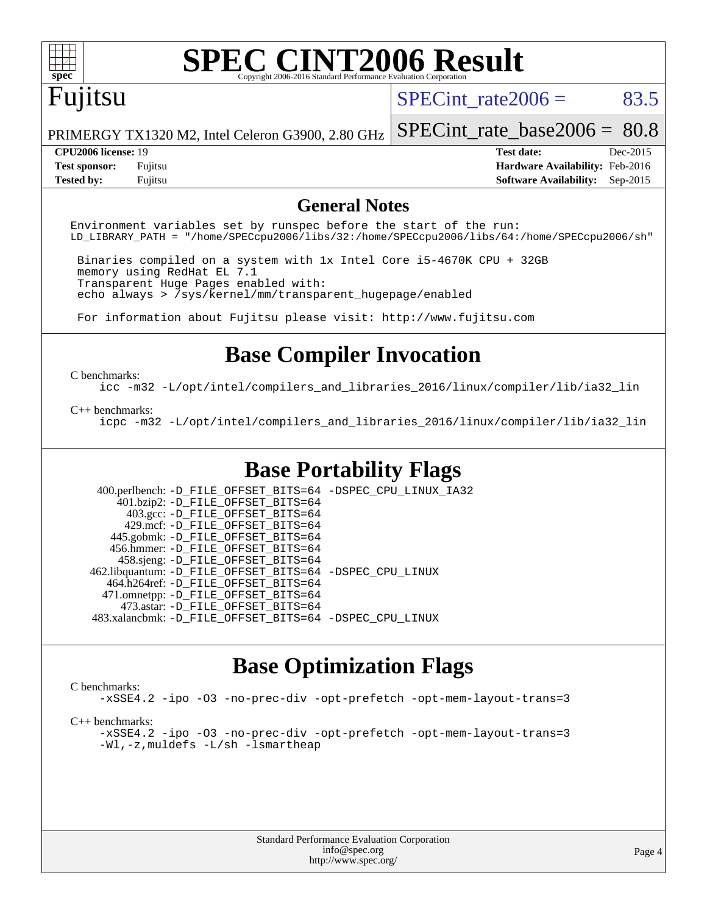

# **[SPEC CINT2006 Result](http://www.spec.org/auto/cpu2006/Docs/result-fields.html#SPECCINT2006Result)**

# Fujitsu

SPECint rate $2006 = 83.5$ 

PRIMERGY TX1320 M2, Intel Celeron G3900, 2.80 GHz

**[Test sponsor:](http://www.spec.org/auto/cpu2006/Docs/result-fields.html#Testsponsor)** Fujitsu **[Hardware Availability:](http://www.spec.org/auto/cpu2006/Docs/result-fields.html#HardwareAvailability)** Feb-2016 **[Tested by:](http://www.spec.org/auto/cpu2006/Docs/result-fields.html#Testedby)** Fujitsu **[Software Availability:](http://www.spec.org/auto/cpu2006/Docs/result-fields.html#SoftwareAvailability)** Sep-2015

[SPECint\\_rate\\_base2006 =](http://www.spec.org/auto/cpu2006/Docs/result-fields.html#SPECintratebase2006) 80.8 **[CPU2006 license:](http://www.spec.org/auto/cpu2006/Docs/result-fields.html#CPU2006license)** 19 **[Test date:](http://www.spec.org/auto/cpu2006/Docs/result-fields.html#Testdate)** Dec-2015

### **[General Notes](http://www.spec.org/auto/cpu2006/Docs/result-fields.html#GeneralNotes)**

Environment variables set by runspec before the start of the run: LD\_LIBRARY\_PATH = "/home/SPECcpu2006/libs/32:/home/SPECcpu2006/libs/64:/home/SPECcpu2006/sh"

 Binaries compiled on a system with 1x Intel Core i5-4670K CPU + 32GB memory using RedHat EL 7.1 Transparent Huge Pages enabled with: echo always > /sys/kernel/mm/transparent\_hugepage/enabled

For information about Fujitsu please visit: <http://www.fujitsu.com>

## **[Base Compiler Invocation](http://www.spec.org/auto/cpu2006/Docs/result-fields.html#BaseCompilerInvocation)**

#### [C benchmarks](http://www.spec.org/auto/cpu2006/Docs/result-fields.html#Cbenchmarks):

[icc -m32 -L/opt/intel/compilers\\_and\\_libraries\\_2016/linux/compiler/lib/ia32\\_lin](http://www.spec.org/cpu2006/results/res2016q1/cpu2006-20160111-38695.flags.html#user_CCbase_intel_icc_e10256ba5924b668798078a321b0cb3f)

#### [C++ benchmarks:](http://www.spec.org/auto/cpu2006/Docs/result-fields.html#CXXbenchmarks)

[icpc -m32 -L/opt/intel/compilers\\_and\\_libraries\\_2016/linux/compiler/lib/ia32\\_lin](http://www.spec.org/cpu2006/results/res2016q1/cpu2006-20160111-38695.flags.html#user_CXXbase_intel_icpc_b4f50a394bdb4597aa5879c16bc3f5c5)

### **[Base Portability Flags](http://www.spec.org/auto/cpu2006/Docs/result-fields.html#BasePortabilityFlags)**

 400.perlbench: [-D\\_FILE\\_OFFSET\\_BITS=64](http://www.spec.org/cpu2006/results/res2016q1/cpu2006-20160111-38695.flags.html#user_basePORTABILITY400_perlbench_file_offset_bits_64_438cf9856305ebd76870a2c6dc2689ab) [-DSPEC\\_CPU\\_LINUX\\_IA32](http://www.spec.org/cpu2006/results/res2016q1/cpu2006-20160111-38695.flags.html#b400.perlbench_baseCPORTABILITY_DSPEC_CPU_LINUX_IA32) 401.bzip2: [-D\\_FILE\\_OFFSET\\_BITS=64](http://www.spec.org/cpu2006/results/res2016q1/cpu2006-20160111-38695.flags.html#user_basePORTABILITY401_bzip2_file_offset_bits_64_438cf9856305ebd76870a2c6dc2689ab) 403.gcc: [-D\\_FILE\\_OFFSET\\_BITS=64](http://www.spec.org/cpu2006/results/res2016q1/cpu2006-20160111-38695.flags.html#user_basePORTABILITY403_gcc_file_offset_bits_64_438cf9856305ebd76870a2c6dc2689ab) 429.mcf: [-D\\_FILE\\_OFFSET\\_BITS=64](http://www.spec.org/cpu2006/results/res2016q1/cpu2006-20160111-38695.flags.html#user_basePORTABILITY429_mcf_file_offset_bits_64_438cf9856305ebd76870a2c6dc2689ab) 445.gobmk: [-D\\_FILE\\_OFFSET\\_BITS=64](http://www.spec.org/cpu2006/results/res2016q1/cpu2006-20160111-38695.flags.html#user_basePORTABILITY445_gobmk_file_offset_bits_64_438cf9856305ebd76870a2c6dc2689ab) 456.hmmer: [-D\\_FILE\\_OFFSET\\_BITS=64](http://www.spec.org/cpu2006/results/res2016q1/cpu2006-20160111-38695.flags.html#user_basePORTABILITY456_hmmer_file_offset_bits_64_438cf9856305ebd76870a2c6dc2689ab) 458.sjeng: [-D\\_FILE\\_OFFSET\\_BITS=64](http://www.spec.org/cpu2006/results/res2016q1/cpu2006-20160111-38695.flags.html#user_basePORTABILITY458_sjeng_file_offset_bits_64_438cf9856305ebd76870a2c6dc2689ab) 462.libquantum: [-D\\_FILE\\_OFFSET\\_BITS=64](http://www.spec.org/cpu2006/results/res2016q1/cpu2006-20160111-38695.flags.html#user_basePORTABILITY462_libquantum_file_offset_bits_64_438cf9856305ebd76870a2c6dc2689ab) [-DSPEC\\_CPU\\_LINUX](http://www.spec.org/cpu2006/results/res2016q1/cpu2006-20160111-38695.flags.html#b462.libquantum_baseCPORTABILITY_DSPEC_CPU_LINUX) 464.h264ref: [-D\\_FILE\\_OFFSET\\_BITS=64](http://www.spec.org/cpu2006/results/res2016q1/cpu2006-20160111-38695.flags.html#user_basePORTABILITY464_h264ref_file_offset_bits_64_438cf9856305ebd76870a2c6dc2689ab) 471.omnetpp: [-D\\_FILE\\_OFFSET\\_BITS=64](http://www.spec.org/cpu2006/results/res2016q1/cpu2006-20160111-38695.flags.html#user_basePORTABILITY471_omnetpp_file_offset_bits_64_438cf9856305ebd76870a2c6dc2689ab) 473.astar: [-D\\_FILE\\_OFFSET\\_BITS=64](http://www.spec.org/cpu2006/results/res2016q1/cpu2006-20160111-38695.flags.html#user_basePORTABILITY473_astar_file_offset_bits_64_438cf9856305ebd76870a2c6dc2689ab) 483.xalancbmk: [-D\\_FILE\\_OFFSET\\_BITS=64](http://www.spec.org/cpu2006/results/res2016q1/cpu2006-20160111-38695.flags.html#user_basePORTABILITY483_xalancbmk_file_offset_bits_64_438cf9856305ebd76870a2c6dc2689ab) [-DSPEC\\_CPU\\_LINUX](http://www.spec.org/cpu2006/results/res2016q1/cpu2006-20160111-38695.flags.html#b483.xalancbmk_baseCXXPORTABILITY_DSPEC_CPU_LINUX)

### **[Base Optimization Flags](http://www.spec.org/auto/cpu2006/Docs/result-fields.html#BaseOptimizationFlags)**

[C benchmarks](http://www.spec.org/auto/cpu2006/Docs/result-fields.html#Cbenchmarks):

[-xSSE4.2](http://www.spec.org/cpu2006/results/res2016q1/cpu2006-20160111-38695.flags.html#user_CCbase_f-xSSE42_f91528193cf0b216347adb8b939d4107) [-ipo](http://www.spec.org/cpu2006/results/res2016q1/cpu2006-20160111-38695.flags.html#user_CCbase_f-ipo) [-O3](http://www.spec.org/cpu2006/results/res2016q1/cpu2006-20160111-38695.flags.html#user_CCbase_f-O3) [-no-prec-div](http://www.spec.org/cpu2006/results/res2016q1/cpu2006-20160111-38695.flags.html#user_CCbase_f-no-prec-div) [-opt-prefetch](http://www.spec.org/cpu2006/results/res2016q1/cpu2006-20160111-38695.flags.html#user_CCbase_f-opt-prefetch) [-opt-mem-layout-trans=3](http://www.spec.org/cpu2006/results/res2016q1/cpu2006-20160111-38695.flags.html#user_CCbase_f-opt-mem-layout-trans_a7b82ad4bd7abf52556d4961a2ae94d5)

[C++ benchmarks:](http://www.spec.org/auto/cpu2006/Docs/result-fields.html#CXXbenchmarks)

[-xSSE4.2](http://www.spec.org/cpu2006/results/res2016q1/cpu2006-20160111-38695.flags.html#user_CXXbase_f-xSSE42_f91528193cf0b216347adb8b939d4107) [-ipo](http://www.spec.org/cpu2006/results/res2016q1/cpu2006-20160111-38695.flags.html#user_CXXbase_f-ipo) [-O3](http://www.spec.org/cpu2006/results/res2016q1/cpu2006-20160111-38695.flags.html#user_CXXbase_f-O3) [-no-prec-div](http://www.spec.org/cpu2006/results/res2016q1/cpu2006-20160111-38695.flags.html#user_CXXbase_f-no-prec-div) [-opt-prefetch](http://www.spec.org/cpu2006/results/res2016q1/cpu2006-20160111-38695.flags.html#user_CXXbase_f-opt-prefetch) [-opt-mem-layout-trans=3](http://www.spec.org/cpu2006/results/res2016q1/cpu2006-20160111-38695.flags.html#user_CXXbase_f-opt-mem-layout-trans_a7b82ad4bd7abf52556d4961a2ae94d5) [-Wl,-z,muldefs](http://www.spec.org/cpu2006/results/res2016q1/cpu2006-20160111-38695.flags.html#user_CXXbase_link_force_multiple1_74079c344b956b9658436fd1b6dd3a8a) [-L/sh -lsmartheap](http://www.spec.org/cpu2006/results/res2016q1/cpu2006-20160111-38695.flags.html#user_CXXbase_SmartHeap_32f6c82aa1ed9c52345d30cf6e4a0499)

| <b>Standard Performance Evaluation Corporation</b> |
|----------------------------------------------------|
| info@spec.org                                      |
| http://www.spec.org/                               |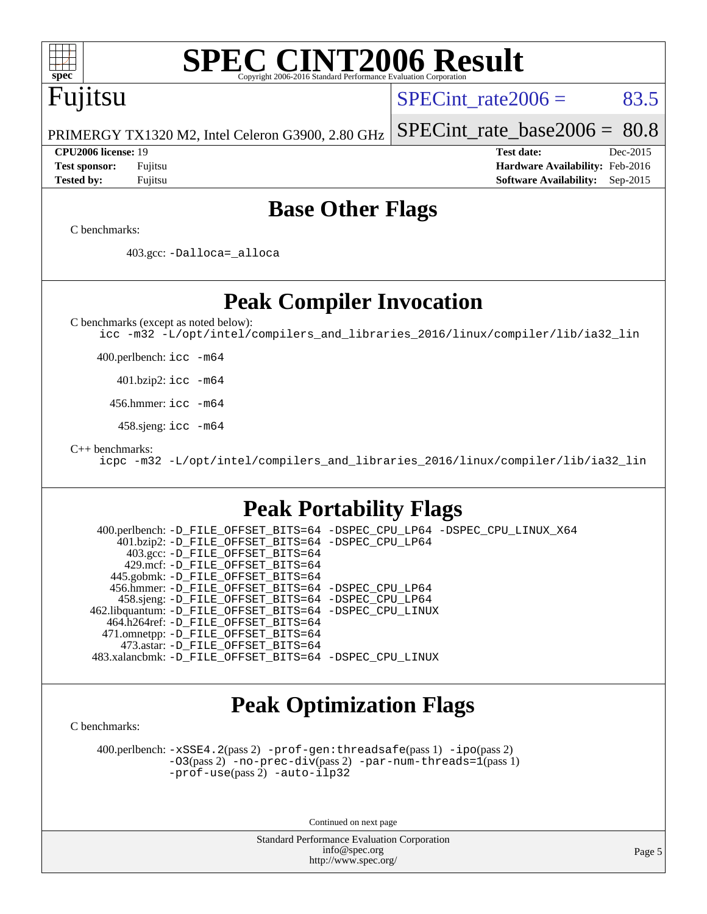# **[SPEC CINT2006 Result](http://www.spec.org/auto/cpu2006/Docs/result-fields.html#SPECCINT2006Result)**

# Fujitsu

SPECint rate  $2006 = 83.5$ 

PRIMERGY TX1320 M2, Intel Celeron G3900, 2.80 GHz [SPECint\\_rate\\_base2006 =](http://www.spec.org/auto/cpu2006/Docs/result-fields.html#SPECintratebase2006) 80.8

**[CPU2006 license:](http://www.spec.org/auto/cpu2006/Docs/result-fields.html#CPU2006license)** 19 **[Test date:](http://www.spec.org/auto/cpu2006/Docs/result-fields.html#Testdate)** Dec-2015 **[Test sponsor:](http://www.spec.org/auto/cpu2006/Docs/result-fields.html#Testsponsor)** Fujitsu **[Hardware Availability:](http://www.spec.org/auto/cpu2006/Docs/result-fields.html#HardwareAvailability)** Feb-2016 **[Tested by:](http://www.spec.org/auto/cpu2006/Docs/result-fields.html#Testedby)** Fujitsu **[Software Availability:](http://www.spec.org/auto/cpu2006/Docs/result-fields.html#SoftwareAvailability)** Sep-2015

## **[Base Other Flags](http://www.spec.org/auto/cpu2006/Docs/result-fields.html#BaseOtherFlags)**

[C benchmarks](http://www.spec.org/auto/cpu2006/Docs/result-fields.html#Cbenchmarks):

403.gcc: [-Dalloca=\\_alloca](http://www.spec.org/cpu2006/results/res2016q1/cpu2006-20160111-38695.flags.html#b403.gcc_baseEXTRA_CFLAGS_Dalloca_be3056838c12de2578596ca5467af7f3)

**[Peak Compiler Invocation](http://www.spec.org/auto/cpu2006/Docs/result-fields.html#PeakCompilerInvocation)**

[C benchmarks \(except as noted below\)](http://www.spec.org/auto/cpu2006/Docs/result-fields.html#Cbenchmarksexceptasnotedbelow):

[icc -m32 -L/opt/intel/compilers\\_and\\_libraries\\_2016/linux/compiler/lib/ia32\\_lin](http://www.spec.org/cpu2006/results/res2016q1/cpu2006-20160111-38695.flags.html#user_CCpeak_intel_icc_e10256ba5924b668798078a321b0cb3f)

400.perlbench: [icc -m64](http://www.spec.org/cpu2006/results/res2016q1/cpu2006-20160111-38695.flags.html#user_peakCCLD400_perlbench_intel_icc_64bit_bda6cc9af1fdbb0edc3795bac97ada53)

401.bzip2: [icc -m64](http://www.spec.org/cpu2006/results/res2016q1/cpu2006-20160111-38695.flags.html#user_peakCCLD401_bzip2_intel_icc_64bit_bda6cc9af1fdbb0edc3795bac97ada53)

456.hmmer: [icc -m64](http://www.spec.org/cpu2006/results/res2016q1/cpu2006-20160111-38695.flags.html#user_peakCCLD456_hmmer_intel_icc_64bit_bda6cc9af1fdbb0edc3795bac97ada53)

458.sjeng: [icc -m64](http://www.spec.org/cpu2006/results/res2016q1/cpu2006-20160111-38695.flags.html#user_peakCCLD458_sjeng_intel_icc_64bit_bda6cc9af1fdbb0edc3795bac97ada53)

[C++ benchmarks:](http://www.spec.org/auto/cpu2006/Docs/result-fields.html#CXXbenchmarks)

[icpc -m32 -L/opt/intel/compilers\\_and\\_libraries\\_2016/linux/compiler/lib/ia32\\_lin](http://www.spec.org/cpu2006/results/res2016q1/cpu2006-20160111-38695.flags.html#user_CXXpeak_intel_icpc_b4f50a394bdb4597aa5879c16bc3f5c5)

## **[Peak Portability Flags](http://www.spec.org/auto/cpu2006/Docs/result-fields.html#PeakPortabilityFlags)**

 400.perlbench: [-D\\_FILE\\_OFFSET\\_BITS=64](http://www.spec.org/cpu2006/results/res2016q1/cpu2006-20160111-38695.flags.html#user_peakPORTABILITY400_perlbench_file_offset_bits_64_438cf9856305ebd76870a2c6dc2689ab) [-DSPEC\\_CPU\\_LP64](http://www.spec.org/cpu2006/results/res2016q1/cpu2006-20160111-38695.flags.html#b400.perlbench_peakCPORTABILITY_DSPEC_CPU_LP64) [-DSPEC\\_CPU\\_LINUX\\_X64](http://www.spec.org/cpu2006/results/res2016q1/cpu2006-20160111-38695.flags.html#b400.perlbench_peakCPORTABILITY_DSPEC_CPU_LINUX_X64) 401.bzip2: [-D\\_FILE\\_OFFSET\\_BITS=64](http://www.spec.org/cpu2006/results/res2016q1/cpu2006-20160111-38695.flags.html#user_peakPORTABILITY401_bzip2_file_offset_bits_64_438cf9856305ebd76870a2c6dc2689ab) [-DSPEC\\_CPU\\_LP64](http://www.spec.org/cpu2006/results/res2016q1/cpu2006-20160111-38695.flags.html#suite_peakCPORTABILITY401_bzip2_DSPEC_CPU_LP64) 403.gcc: [-D\\_FILE\\_OFFSET\\_BITS=64](http://www.spec.org/cpu2006/results/res2016q1/cpu2006-20160111-38695.flags.html#user_peakPORTABILITY403_gcc_file_offset_bits_64_438cf9856305ebd76870a2c6dc2689ab) 429.mcf: [-D\\_FILE\\_OFFSET\\_BITS=64](http://www.spec.org/cpu2006/results/res2016q1/cpu2006-20160111-38695.flags.html#user_peakPORTABILITY429_mcf_file_offset_bits_64_438cf9856305ebd76870a2c6dc2689ab) 445.gobmk: [-D\\_FILE\\_OFFSET\\_BITS=64](http://www.spec.org/cpu2006/results/res2016q1/cpu2006-20160111-38695.flags.html#user_peakPORTABILITY445_gobmk_file_offset_bits_64_438cf9856305ebd76870a2c6dc2689ab) 456.hmmer: [-D\\_FILE\\_OFFSET\\_BITS=64](http://www.spec.org/cpu2006/results/res2016q1/cpu2006-20160111-38695.flags.html#user_peakPORTABILITY456_hmmer_file_offset_bits_64_438cf9856305ebd76870a2c6dc2689ab) [-DSPEC\\_CPU\\_LP64](http://www.spec.org/cpu2006/results/res2016q1/cpu2006-20160111-38695.flags.html#suite_peakCPORTABILITY456_hmmer_DSPEC_CPU_LP64) 458.sjeng: [-D\\_FILE\\_OFFSET\\_BITS=64](http://www.spec.org/cpu2006/results/res2016q1/cpu2006-20160111-38695.flags.html#user_peakPORTABILITY458_sjeng_file_offset_bits_64_438cf9856305ebd76870a2c6dc2689ab) [-DSPEC\\_CPU\\_LP64](http://www.spec.org/cpu2006/results/res2016q1/cpu2006-20160111-38695.flags.html#suite_peakCPORTABILITY458_sjeng_DSPEC_CPU_LP64) 462.libquantum: [-D\\_FILE\\_OFFSET\\_BITS=64](http://www.spec.org/cpu2006/results/res2016q1/cpu2006-20160111-38695.flags.html#user_peakPORTABILITY462_libquantum_file_offset_bits_64_438cf9856305ebd76870a2c6dc2689ab) [-DSPEC\\_CPU\\_LINUX](http://www.spec.org/cpu2006/results/res2016q1/cpu2006-20160111-38695.flags.html#b462.libquantum_peakCPORTABILITY_DSPEC_CPU_LINUX) 464.h264ref: [-D\\_FILE\\_OFFSET\\_BITS=64](http://www.spec.org/cpu2006/results/res2016q1/cpu2006-20160111-38695.flags.html#user_peakPORTABILITY464_h264ref_file_offset_bits_64_438cf9856305ebd76870a2c6dc2689ab) 471.omnetpp: [-D\\_FILE\\_OFFSET\\_BITS=64](http://www.spec.org/cpu2006/results/res2016q1/cpu2006-20160111-38695.flags.html#user_peakPORTABILITY471_omnetpp_file_offset_bits_64_438cf9856305ebd76870a2c6dc2689ab) 473.astar: [-D\\_FILE\\_OFFSET\\_BITS=64](http://www.spec.org/cpu2006/results/res2016q1/cpu2006-20160111-38695.flags.html#user_peakPORTABILITY473_astar_file_offset_bits_64_438cf9856305ebd76870a2c6dc2689ab) 483.xalancbmk: [-D\\_FILE\\_OFFSET\\_BITS=64](http://www.spec.org/cpu2006/results/res2016q1/cpu2006-20160111-38695.flags.html#user_peakPORTABILITY483_xalancbmk_file_offset_bits_64_438cf9856305ebd76870a2c6dc2689ab) [-DSPEC\\_CPU\\_LINUX](http://www.spec.org/cpu2006/results/res2016q1/cpu2006-20160111-38695.flags.html#b483.xalancbmk_peakCXXPORTABILITY_DSPEC_CPU_LINUX)

# **[Peak Optimization Flags](http://www.spec.org/auto/cpu2006/Docs/result-fields.html#PeakOptimizationFlags)**

[C benchmarks](http://www.spec.org/auto/cpu2006/Docs/result-fields.html#Cbenchmarks):

 400.perlbench: [-xSSE4.2](http://www.spec.org/cpu2006/results/res2016q1/cpu2006-20160111-38695.flags.html#user_peakPASS2_CFLAGSPASS2_LDCFLAGS400_perlbench_f-xSSE42_f91528193cf0b216347adb8b939d4107)(pass 2) [-prof-gen:threadsafe](http://www.spec.org/cpu2006/results/res2016q1/cpu2006-20160111-38695.flags.html#user_peakPASS1_CFLAGSPASS1_LDCFLAGS400_perlbench_prof_gen_21a26eb79f378b550acd7bec9fe4467a)(pass 1) [-ipo](http://www.spec.org/cpu2006/results/res2016q1/cpu2006-20160111-38695.flags.html#user_peakPASS2_CFLAGSPASS2_LDCFLAGS400_perlbench_f-ipo)(pass 2) [-O3](http://www.spec.org/cpu2006/results/res2016q1/cpu2006-20160111-38695.flags.html#user_peakPASS2_CFLAGSPASS2_LDCFLAGS400_perlbench_f-O3)(pass 2) [-no-prec-div](http://www.spec.org/cpu2006/results/res2016q1/cpu2006-20160111-38695.flags.html#user_peakPASS2_CFLAGSPASS2_LDCFLAGS400_perlbench_f-no-prec-div)(pass 2) [-par-num-threads=1](http://www.spec.org/cpu2006/results/res2016q1/cpu2006-20160111-38695.flags.html#user_peakPASS1_CFLAGSPASS1_LDCFLAGS400_perlbench_par_num_threads_786a6ff141b4e9e90432e998842df6c2)(pass 1) [-prof-use](http://www.spec.org/cpu2006/results/res2016q1/cpu2006-20160111-38695.flags.html#user_peakPASS2_CFLAGSPASS2_LDCFLAGS400_perlbench_prof_use_bccf7792157ff70d64e32fe3e1250b55)(pass 2) [-auto-ilp32](http://www.spec.org/cpu2006/results/res2016q1/cpu2006-20160111-38695.flags.html#user_peakCOPTIMIZE400_perlbench_f-auto-ilp32)

Continued on next page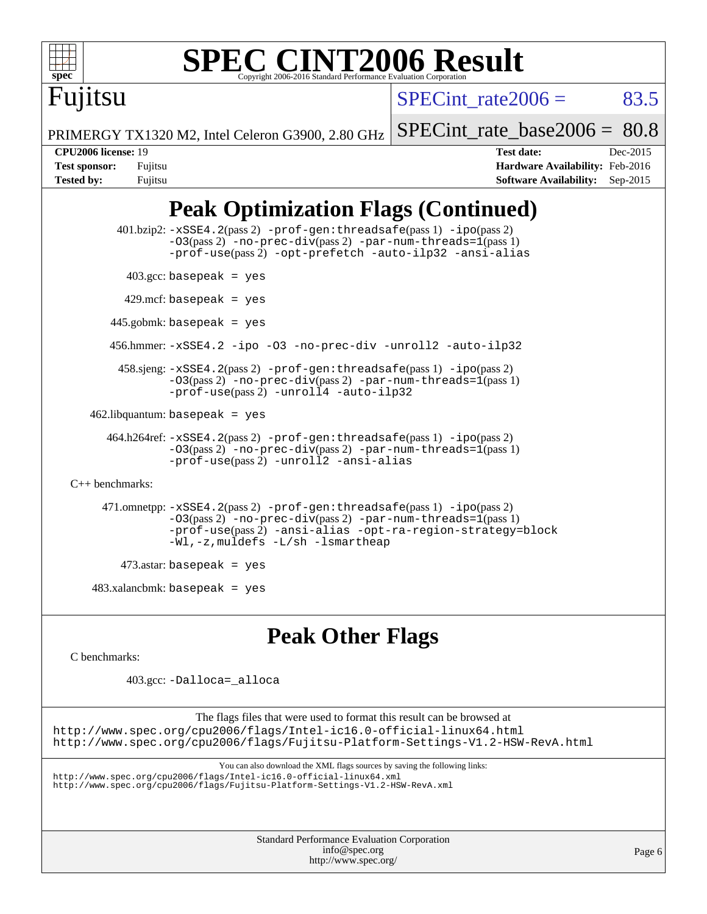

Fujitsu

### **[SPEC CINT2006 Result](http://www.spec.org/auto/cpu2006/Docs/result-fields.html#SPECCINT2006Result)** Copyright 2006-2016 Standard Performance Evaluation C

SPECint rate  $2006 = 83.5$ 

PRIMERGY TX1320 M2, Intel Celeron G3900, 2.80 GHz

[SPECint\\_rate\\_base2006 =](http://www.spec.org/auto/cpu2006/Docs/result-fields.html#SPECintratebase2006) 80.8

**[Tested by:](http://www.spec.org/auto/cpu2006/Docs/result-fields.html#Testedby)** Fujitsu **[Software Availability:](http://www.spec.org/auto/cpu2006/Docs/result-fields.html#SoftwareAvailability)** Sep-2015

**[CPU2006 license:](http://www.spec.org/auto/cpu2006/Docs/result-fields.html#CPU2006license)** 19 **[Test date:](http://www.spec.org/auto/cpu2006/Docs/result-fields.html#Testdate)** Dec-2015 **[Test sponsor:](http://www.spec.org/auto/cpu2006/Docs/result-fields.html#Testsponsor)** Fujitsu **[Hardware Availability:](http://www.spec.org/auto/cpu2006/Docs/result-fields.html#HardwareAvailability)** Feb-2016

# **[Peak Optimization Flags \(Continued\)](http://www.spec.org/auto/cpu2006/Docs/result-fields.html#PeakOptimizationFlags)**

```
 401.bzip2: -xSSE4.2(pass 2) -prof-gen:threadsafe(pass 1) -ipo(pass 2)
                -O3(pass 2) -no-prec-div(pass 2) -par-num-threads=1(pass 1)
                -prof-use(pass 2) -opt-prefetch -auto-ilp32 -ansi-alias
         403.\text{gcc: basepeak} = yes
         429.mcf: basepeak = yes
      445.gobmk: basepeak = yes
       456.hmmer: -xSSE4.2 -ipo -O3 -no-prec-div -unroll2 -auto-ilp32
        458.sjeng: -xSSE4.2(pass 2) -prof-gen:threadsafe(pass 1) -ipo(pass 2)
                -03-no-prec-div-par-num-threads=1(pass 1)
                -prof-use(pass 2) -unroll4 -auto-ilp32
   462.libquantum: basepeak = yes
      464.h264ref: -xSSE4.2(pass 2) -prof-gen:threadsafe(pass 1) -ipo(pass 2)
                -03(pass 2)-no-prec-div-par-num-threads=1(pass 1)
                -prof-use(pass 2) -unroll2 -ansi-alias
C++ benchmarks: 
      471.omnetpp: -xSSE4.2(pass 2) -prof-gen:threadsafe(pass 1) -ipo(pass 2)
                -O3(pass 2) -no-prec-div(pass 2) -par-num-threads=1(pass 1)
                -prof-use(pass 2) -ansi-alias -opt-ra-region-strategy=block
                -Wl,-z,muldefs -L/sh -lsmartheap
         473.astar: basepeak = yes
    483.xalancbmk: basepeak = yes
```
## **[Peak Other Flags](http://www.spec.org/auto/cpu2006/Docs/result-fields.html#PeakOtherFlags)**

[C benchmarks](http://www.spec.org/auto/cpu2006/Docs/result-fields.html#Cbenchmarks):

403.gcc: [-Dalloca=\\_alloca](http://www.spec.org/cpu2006/results/res2016q1/cpu2006-20160111-38695.flags.html#b403.gcc_peakEXTRA_CFLAGS_Dalloca_be3056838c12de2578596ca5467af7f3)

The flags files that were used to format this result can be browsed at <http://www.spec.org/cpu2006/flags/Intel-ic16.0-official-linux64.html> <http://www.spec.org/cpu2006/flags/Fujitsu-Platform-Settings-V1.2-HSW-RevA.html>

You can also download the XML flags sources by saving the following links:

<http://www.spec.org/cpu2006/flags/Intel-ic16.0-official-linux64.xml>

<http://www.spec.org/cpu2006/flags/Fujitsu-Platform-Settings-V1.2-HSW-RevA.xml>